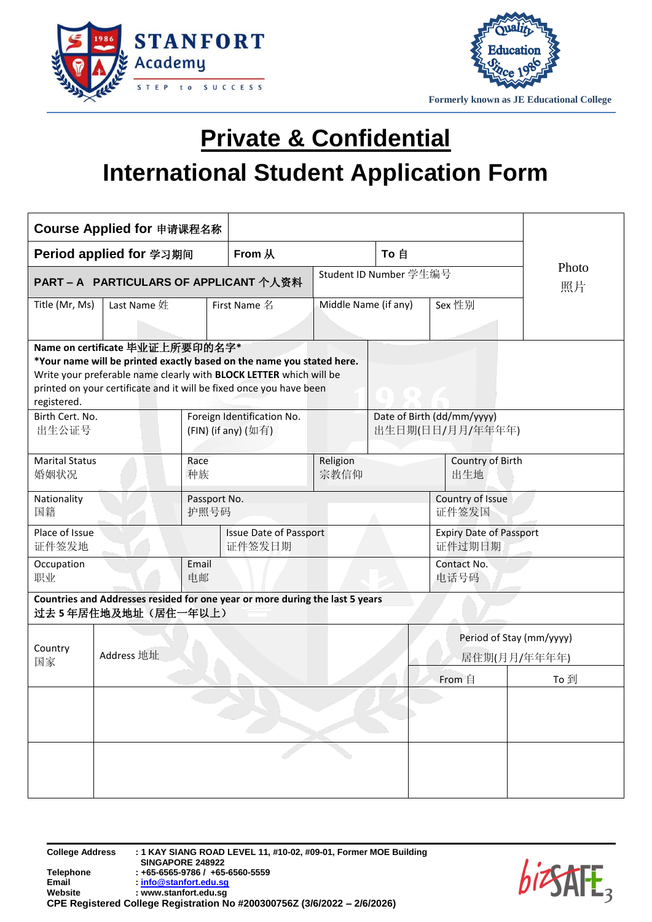



## **Private & Confidential International Student Application Form**

| Course Applied for 申请课程名称                                                                                                                                                                                                                                                                                                                                               |                                                                     |                                         |              |                           |                                          |                                          |                         |  |  |
|-------------------------------------------------------------------------------------------------------------------------------------------------------------------------------------------------------------------------------------------------------------------------------------------------------------------------------------------------------------------------|---------------------------------------------------------------------|-----------------------------------------|--------------|---------------------------|------------------------------------------|------------------------------------------|-------------------------|--|--|
|                                                                                                                                                                                                                                                                                                                                                                         | Period applied for 学习期间                                             |                                         | From 从       | To 自                      |                                          |                                          |                         |  |  |
|                                                                                                                                                                                                                                                                                                                                                                         | PART - A PARTICULARS OF APPLICANT 个人资料                              |                                         |              | Student ID Number 学生编号    |                                          |                                          | Photo<br>照片             |  |  |
| Title (Mr, Ms)                                                                                                                                                                                                                                                                                                                                                          | Last Name 姓                                                         |                                         | First Name 名 | Middle Name (if any)      |                                          | Sex 性别                                   |                         |  |  |
| Name on certificate 毕业证上所要印的名字*<br>*Your name will be printed exactly based on the name you stated here.<br>Write your preferable name clearly with BLOCK LETTER which will be<br>printed on your certificate and it will be fixed once you have been<br>registered.<br>Foreign Identification No.<br>Date of Birth (dd/mm/yyyy)<br>Birth Cert. No.<br>出生日期(日日/月月/年年年年) |                                                                     |                                         |              |                           |                                          |                                          |                         |  |  |
| 婚姻状况                                                                                                                                                                                                                                                                                                                                                                    | 出生公证号<br>(FIN) (if any) (如有)<br><b>Marital Status</b><br>Race<br>种族 |                                         |              | Religion<br>宗教信仰          |                                          |                                          | Country of Birth<br>出生地 |  |  |
| Nationality<br>Passport No.<br>国籍<br>护照号码                                                                                                                                                                                                                                                                                                                               |                                                                     |                                         |              | Country of Issue<br>证件签发国 |                                          |                                          |                         |  |  |
| Place of Issue<br>证件签发地                                                                                                                                                                                                                                                                                                                                                 |                                                                     | <b>Issue Date of Passport</b><br>证件签发日期 |              |                           | <b>Expiry Date of Passport</b><br>证件过期日期 |                                          |                         |  |  |
| Occupation<br>职业                                                                                                                                                                                                                                                                                                                                                        | Email<br>电邮                                                         |                                         |              | Contact No.<br>电话号码       |                                          |                                          |                         |  |  |
| Countries and Addresses resided for one year or more during the last 5 years<br>过去5年居住地及地址(居住一年以上)                                                                                                                                                                                                                                                                      |                                                                     |                                         |              |                           |                                          |                                          |                         |  |  |
| Country<br>国家                                                                                                                                                                                                                                                                                                                                                           | Address 地址                                                          |                                         |              |                           |                                          | Period of Stay (mm/yyyy)<br>居住期(月月/年年年年) |                         |  |  |
|                                                                                                                                                                                                                                                                                                                                                                         |                                                                     |                                         |              |                           |                                          | From 自                                   | To 到                    |  |  |
|                                                                                                                                                                                                                                                                                                                                                                         |                                                                     |                                         |              |                           |                                          |                                          |                         |  |  |
|                                                                                                                                                                                                                                                                                                                                                                         |                                                                     |                                         |              |                           |                                          |                                          |                         |  |  |

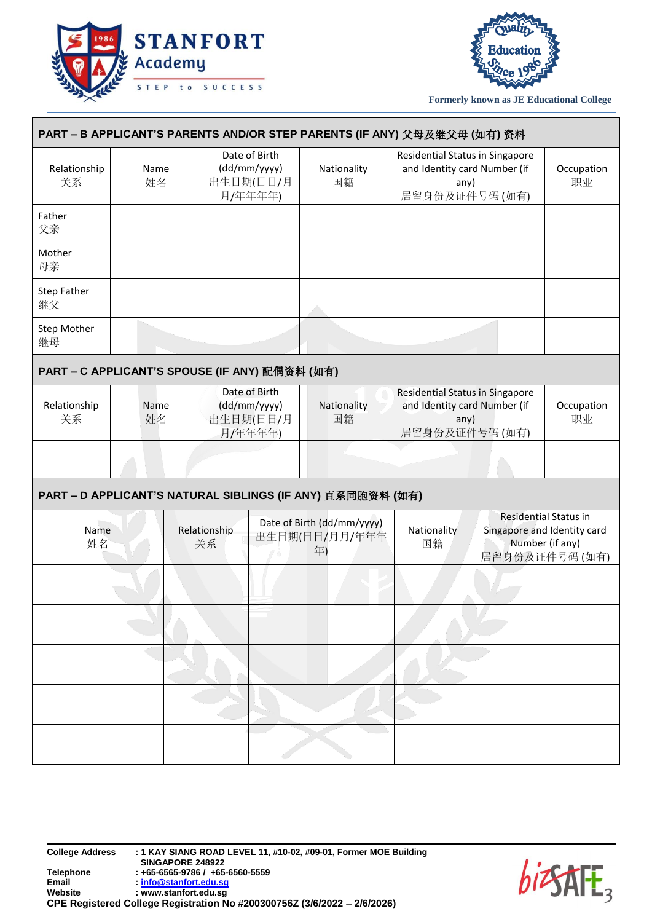



| PART – B APPLICANT'S PARENTS AND/OR STEP PARENTS (IF ANY) 父母及继父母 (如有) 资料 |            |  |                                                       |                                                       |                                                    |  |                                                                                          |      |  |                                                                                                 |
|--------------------------------------------------------------------------|------------|--|-------------------------------------------------------|-------------------------------------------------------|----------------------------------------------------|--|------------------------------------------------------------------------------------------|------|--|-------------------------------------------------------------------------------------------------|
| Relationship<br>关系                                                       | Name<br>姓名 |  |                                                       | Date of Birth<br>(dd/mm/yyyy)<br>出生日期(日日/月<br>月/年年年年) | Nationality<br>国籍                                  |  | Residential Status in Singapore<br>and Identity card Number (if<br>居留身份及证件号码(如有)         | any) |  | Occupation<br>职业                                                                                |
| Father<br>父亲                                                             |            |  |                                                       |                                                       |                                                    |  |                                                                                          |      |  |                                                                                                 |
| Mother<br>母亲                                                             |            |  |                                                       |                                                       |                                                    |  |                                                                                          |      |  |                                                                                                 |
| Step Father<br>继父                                                        |            |  |                                                       |                                                       |                                                    |  |                                                                                          |      |  |                                                                                                 |
| Step Mother<br>继母                                                        |            |  |                                                       |                                                       |                                                    |  |                                                                                          |      |  |                                                                                                 |
| PART - C APPLICANT'S SPOUSE (IF ANY) 配偶资料 (如有)                           |            |  |                                                       |                                                       |                                                    |  |                                                                                          |      |  |                                                                                                 |
| Relationship<br>关系                                                       | Name<br>姓名 |  | Date of Birth<br>(dd/mm/yyyy)<br>出生日期(日日/月<br>月/年年年年) |                                                       | Nationality<br>国籍                                  |  | Residential Status in Singapore<br>and Identity card Number (if<br>any)<br>居留身份及证件号码(如有) |      |  | Occupation<br>职业                                                                                |
|                                                                          |            |  |                                                       |                                                       |                                                    |  |                                                                                          |      |  |                                                                                                 |
| PART - D APPLICANT'S NATURAL SIBLINGS (IF ANY) 直系同胞资料 (如有)               |            |  |                                                       |                                                       |                                                    |  |                                                                                          |      |  |                                                                                                 |
| Name<br>姓名                                                               |            |  | Relationship<br>关系                                    |                                                       | Date of Birth (dd/mm/yyyy)<br>出生日期(日日/月月/年年年<br>年) |  | Nationality<br>国籍                                                                        |      |  | <b>Residential Status in</b><br>Singapore and Identity card<br>Number (if any)<br>居留身份及证件号码(如有) |
|                                                                          |            |  |                                                       |                                                       |                                                    |  |                                                                                          |      |  |                                                                                                 |
|                                                                          |            |  |                                                       |                                                       |                                                    |  |                                                                                          |      |  |                                                                                                 |
|                                                                          |            |  |                                                       |                                                       |                                                    |  |                                                                                          |      |  |                                                                                                 |
|                                                                          |            |  |                                                       |                                                       |                                                    |  |                                                                                          |      |  |                                                                                                 |
|                                                                          |            |  |                                                       |                                                       |                                                    |  |                                                                                          |      |  |                                                                                                 |

**College Address : 1 KAY SIANG ROAD LEVEL 11, #10-02, #09-01, Former MOE Building SINGAPORE 248922 Telephone : +65-6565-9786 / +65-6560-5559 Email [: info@stanfort.edu.sg](mailto:info@stanfort.edu.sg) Website : www.stanfort.edu.sg CPE Registered College Registration No #200300756Z (3/6/2022 – 2/6/2026)**

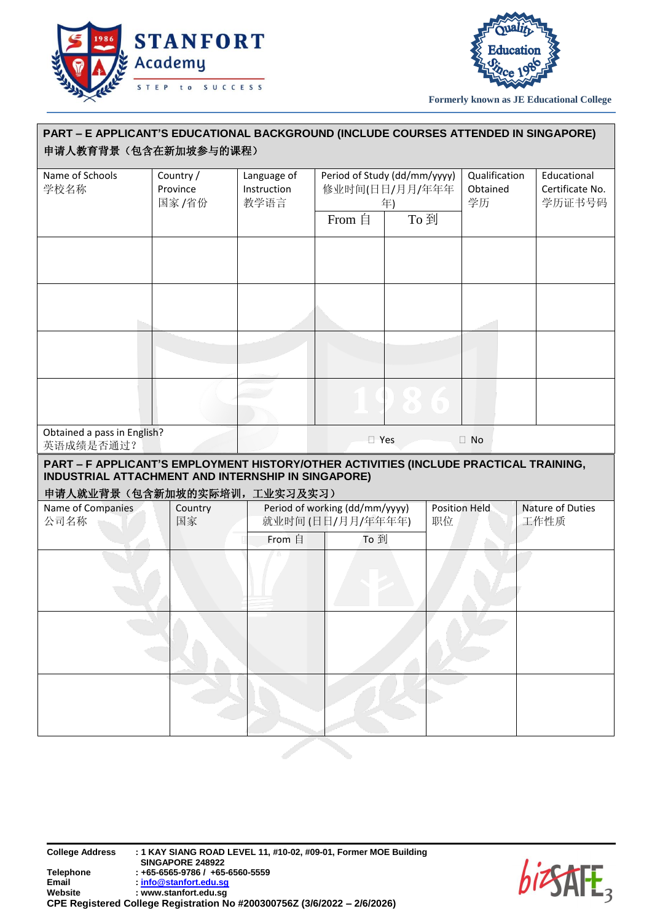



| PART - E APPLICANT'S EDUCATIONAL BACKGROUND (INCLUDE COURSES ATTENDED IN SINGAPORE)<br>申请人教育背景(包含在新加坡参与的课程)                                 |                                |                                    |                                                                        |           |                            |                                 |  |                                          |  |
|---------------------------------------------------------------------------------------------------------------------------------------------|--------------------------------|------------------------------------|------------------------------------------------------------------------|-----------|----------------------------|---------------------------------|--|------------------------------------------|--|
| Name of Schools<br>学校名称                                                                                                                     | Country /<br>Province<br>国家/省份 | Language of<br>Instruction<br>教学语言 | Period of Study (dd/mm/yyyy)<br>修业时间(日日/月月/年年年<br>年)<br>To 到<br>From 自 |           |                            | Qualification<br>Obtained<br>学历 |  | Educational<br>Certificate No.<br>学历证书号码 |  |
|                                                                                                                                             |                                |                                    |                                                                        |           |                            |                                 |  |                                          |  |
|                                                                                                                                             |                                |                                    |                                                                        |           |                            |                                 |  |                                          |  |
|                                                                                                                                             |                                |                                    |                                                                        |           |                            |                                 |  |                                          |  |
|                                                                                                                                             |                                |                                    |                                                                        | $\bullet$ |                            |                                 |  |                                          |  |
| Obtained a pass in English?<br>英语成绩是否通过?                                                                                                    |                                |                                    | <b>T</b> Yes<br>$\Box$ No                                              |           |                            |                                 |  |                                          |  |
| PART - F APPLICANT'S EMPLOYMENT HISTORY/OTHER ACTIVITIES (INCLUDE PRACTICAL TRAINING,<br>INDUSTRIAL ATTACHMENT AND INTERNSHIP IN SINGAPORE) |                                |                                    |                                                                        |           |                            |                                 |  |                                          |  |
| 申请人就业背景(包含新加坡的实际培训,工业实习及实习)<br>Name of Companies<br>Country<br>公司名称<br>国家                                                                   |                                |                                    | Period of working (dd/mm/yyyy)<br>就业时间(日日/月月/年年年年)                     |           | <b>Position Held</b><br>职位 |                                 |  | Nature of Duties<br>工作性质                 |  |
|                                                                                                                                             |                                | From 自                             | To 到                                                                   |           |                            |                                 |  |                                          |  |
|                                                                                                                                             |                                |                                    |                                                                        |           |                            |                                 |  |                                          |  |
|                                                                                                                                             |                                |                                    |                                                                        |           |                            |                                 |  |                                          |  |
|                                                                                                                                             |                                |                                    |                                                                        |           |                            |                                 |  |                                          |  |

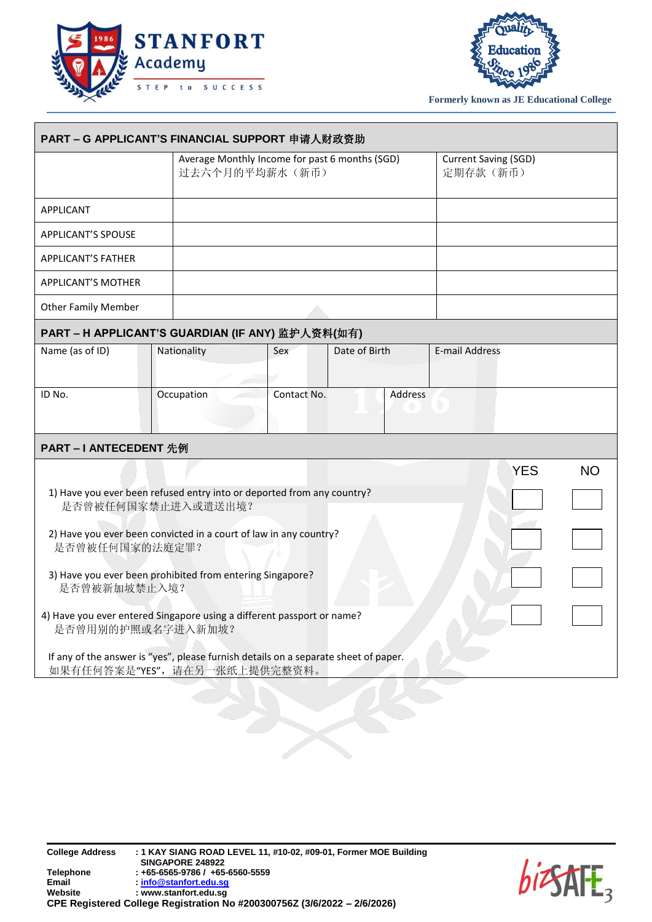



|                                                                                             | Average Monthly Income for past 6 months (SGD)<br>过去六个月的平均薪水(新币)                                                     |             |               |                | Current Saving (SGD)<br>定期存款(新币) |            |           |
|---------------------------------------------------------------------------------------------|----------------------------------------------------------------------------------------------------------------------|-------------|---------------|----------------|----------------------------------|------------|-----------|
| <b>APPLICANT</b>                                                                            |                                                                                                                      |             |               |                |                                  |            |           |
| <b>APPLICANT'S SPOUSE</b>                                                                   |                                                                                                                      |             |               |                |                                  |            |           |
| <b>APPLICANT'S FATHER</b>                                                                   |                                                                                                                      |             |               |                |                                  |            |           |
| <b>APPLICANT'S MOTHER</b>                                                                   |                                                                                                                      |             |               |                |                                  |            |           |
| <b>Other Family Member</b>                                                                  |                                                                                                                      |             |               |                |                                  |            |           |
| PART - H APPLICANT'S GUARDIAN (IF ANY) 监护人资料(如有)                                            |                                                                                                                      |             |               |                |                                  |            |           |
| Name (as of ID)                                                                             | Nationality                                                                                                          | Sex         | Date of Birth |                | <b>E-mail Address</b>            |            |           |
|                                                                                             |                                                                                                                      |             |               |                |                                  |            |           |
| ID No.                                                                                      | Occupation                                                                                                           | Contact No. |               | <b>Address</b> |                                  |            |           |
| <b>PART-I ANTECEDENT 先例</b>                                                                 |                                                                                                                      |             |               |                |                                  |            |           |
|                                                                                             |                                                                                                                      |             |               |                |                                  | <b>YES</b> | <b>NO</b> |
|                                                                                             | 1) Have you ever been refused entry into or deported from any country?<br>是否曾被任何国家禁止进入或遣送出境?                         |             |               |                |                                  |            |           |
| 是否曾被任何国家的法庭定罪?                                                                              | 2) Have you ever been convicted in a court of law in any country?                                                    |             |               |                |                                  |            |           |
| 是否曾被新加坡禁止入境?                                                                                | 3) Have you ever been prohibited from entering Singapore?                                                            |             |               |                |                                  |            |           |
| 4) Have you ever entered Singapore using a different passport or name?<br>是否曾用别的护照或名字进入新加坡? |                                                                                                                      |             |               |                |                                  |            |           |
|                                                                                             | If any of the answer is "yes", please furnish details on a separate sheet of paper.<br>如果有任何答案是"YES", 请在另一张纸上提供完整资料。 |             |               |                |                                  |            |           |